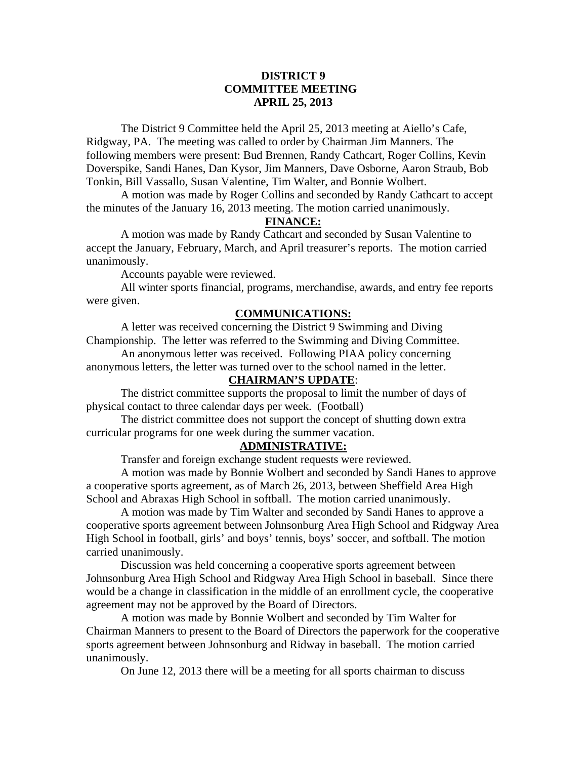## **DISTRICT 9 COMMITTEE MEETING APRIL 25, 2013**

 The District 9 Committee held the April 25, 2013 meeting at Aiello's Cafe, Ridgway, PA. The meeting was called to order by Chairman Jim Manners. The following members were present: Bud Brennen, Randy Cathcart, Roger Collins, Kevin Doverspike, Sandi Hanes, Dan Kysor, Jim Manners, Dave Osborne, Aaron Straub, Bob Tonkin, Bill Vassallo, Susan Valentine, Tim Walter, and Bonnie Wolbert.

 A motion was made by Roger Collins and seconded by Randy Cathcart to accept the minutes of the January 16, 2013 meeting. The motion carried unanimously.

# **FINANCE:**

A motion was made by Randy Cathcart and seconded by Susan Valentine to accept the January, February, March, and April treasurer's reports. The motion carried unanimously.

Accounts payable were reviewed.

 All winter sports financial, programs, merchandise, awards, and entry fee reports were given.

#### **COMMUNICATIONS:**

 A letter was received concerning the District 9 Swimming and Diving Championship. The letter was referred to the Swimming and Diving Committee.

 An anonymous letter was received. Following PIAA policy concerning anonymous letters, the letter was turned over to the school named in the letter.

## **CHAIRMAN'S UPDATE**:

 The district committee supports the proposal to limit the number of days of physical contact to three calendar days per week. (Football)

 The district committee does not support the concept of shutting down extra curricular programs for one week during the summer vacation.

### **ADMINISTRATIVE:**

Transfer and foreign exchange student requests were reviewed.

 A motion was made by Bonnie Wolbert and seconded by Sandi Hanes to approve a cooperative sports agreement, as of March 26, 2013, between Sheffield Area High School and Abraxas High School in softball. The motion carried unanimously.

 A motion was made by Tim Walter and seconded by Sandi Hanes to approve a cooperative sports agreement between Johnsonburg Area High School and Ridgway Area High School in football, girls' and boys' tennis, boys' soccer, and softball. The motion carried unanimously.

Discussion was held concerning a cooperative sports agreement between Johnsonburg Area High School and Ridgway Area High School in baseball. Since there would be a change in classification in the middle of an enrollment cycle, the cooperative agreement may not be approved by the Board of Directors.

A motion was made by Bonnie Wolbert and seconded by Tim Walter for Chairman Manners to present to the Board of Directors the paperwork for the cooperative sports agreement between Johnsonburg and Ridway in baseball. The motion carried unanimously.

On June 12, 2013 there will be a meeting for all sports chairman to discuss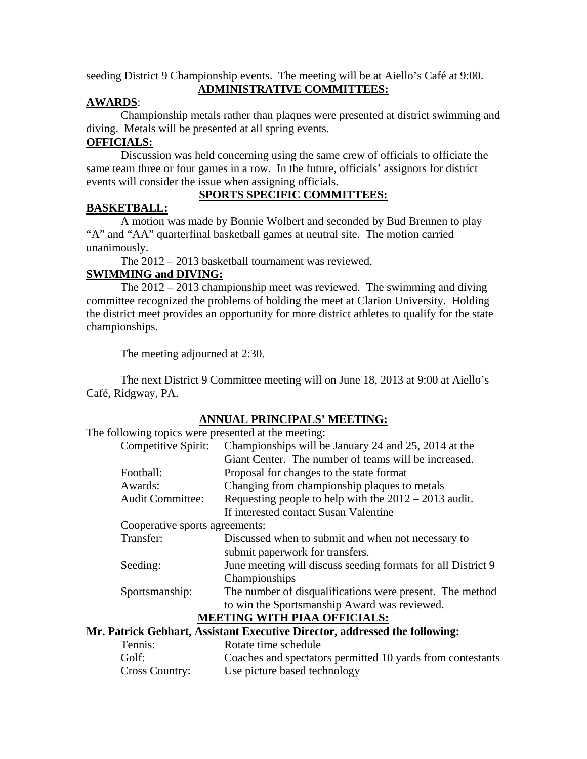seeding District 9 Championship events. The meeting will be at Aiello's Café at 9:00. **ADMINISTRATIVE COMMITTEES:**

## **AWARDS**:

 Championship metals rather than plaques were presented at district swimming and diving. Metals will be presented at all spring events.

# **OFFICIALS:**

Discussion was held concerning using the same crew of officials to officiate the same team three or four games in a row. In the future, officials' assignors for district events will consider the issue when assigning officials.

# **BASKETBALL:**

# **SPORTS SPECIFIC COMMITTEES:**

 A motion was made by Bonnie Wolbert and seconded by Bud Brennen to play "A" and "AA" quarterfinal basketball games at neutral site. The motion carried unanimously.

The 2012 – 2013 basketball tournament was reviewed.

# **SWIMMING and DIVING:**

 The 2012 – 2013 championship meet was reviewed. The swimming and diving committee recognized the problems of holding the meet at Clarion University. Holding the district meet provides an opportunity for more district athletes to qualify for the state championships.

The meeting adjourned at 2:30.

 The next District 9 Committee meeting will on June 18, 2013 at 9:00 at Aiello's Café, Ridgway, PA.

| ANNUAL PRINCIPALS' MEETING:                         |                                                                               |
|-----------------------------------------------------|-------------------------------------------------------------------------------|
| The following topics were presented at the meeting: |                                                                               |
| Competitive Spirit:                                 | Championships will be January 24 and 25, 2014 at the                          |
|                                                     | Giant Center. The number of teams will be increased.                          |
| Football:                                           | Proposal for changes to the state format                                      |
| Awards:                                             | Changing from championship plaques to metals                                  |
| <b>Audit Committee:</b>                             | Requesting people to help with the $2012 - 2013$ audit.                       |
|                                                     | If interested contact Susan Valentine                                         |
| Cooperative sports agreements:                      |                                                                               |
| Transfer:                                           | Discussed when to submit and when not necessary to                            |
|                                                     | submit paperwork for transfers.                                               |
| Seeding:                                            | June meeting will discuss seeding formats for all District 9<br>Championships |
| Sportsmanship:                                      | The number of disqualifications were present. The method                      |
|                                                     | to win the Sportsmanship Award was reviewed.                                  |
|                                                     | <b>MEETING WITH PIAA OFFICIALS:</b>                                           |
|                                                     | Mr. Patrick Gebhart, Assistant Executive Director, addressed the following:   |
| Tennis:                                             | Rotate time schedule                                                          |

Cross Country: Use picture based technology

Golf: Coaches and spectators permitted 10 yards from contestants